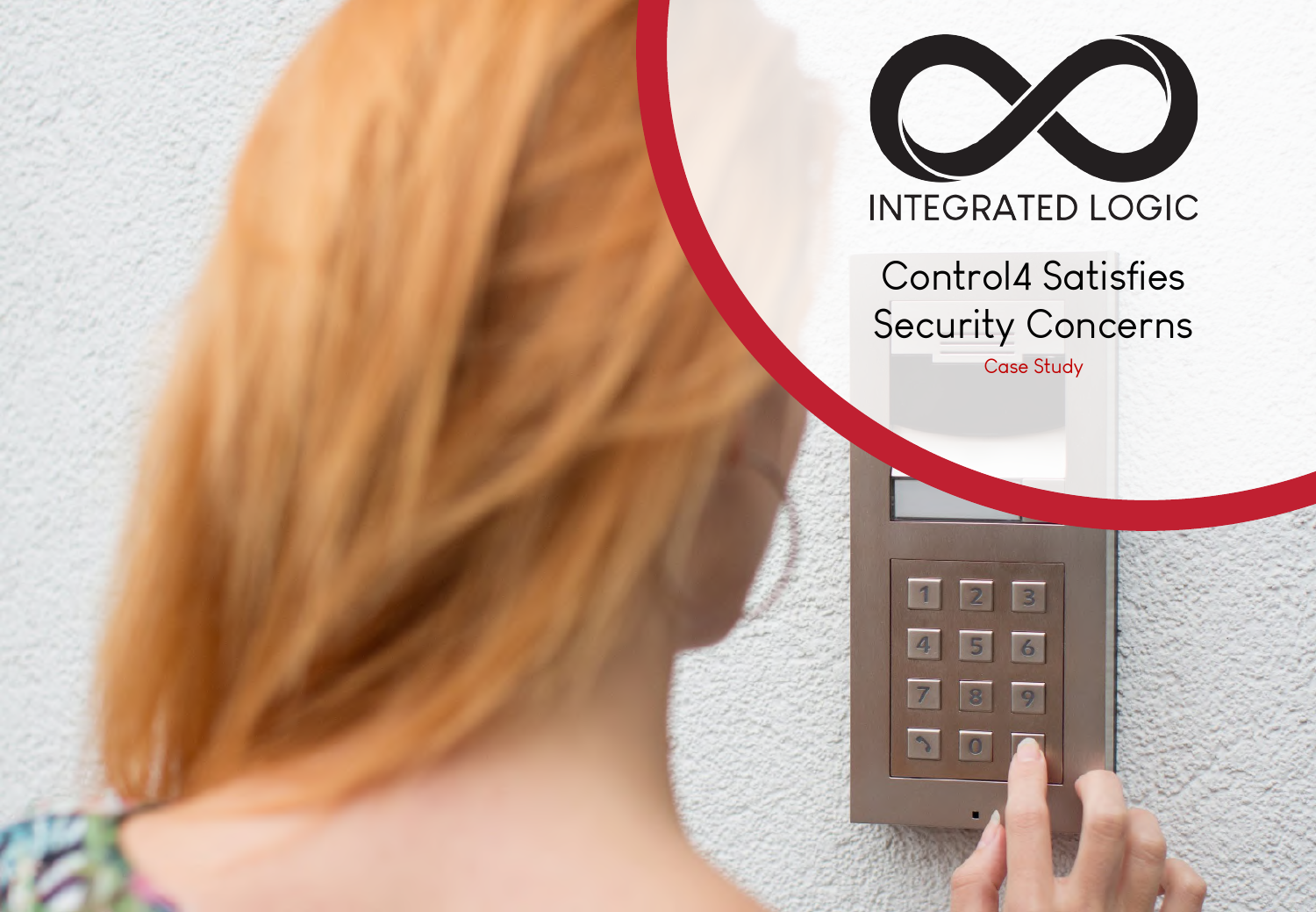

**INTEGRATED LOGIC** 

Control4 Satisfies Security Concerns

Case Study

 $\overline{3}$ 

 $\overline{6}$ 

1